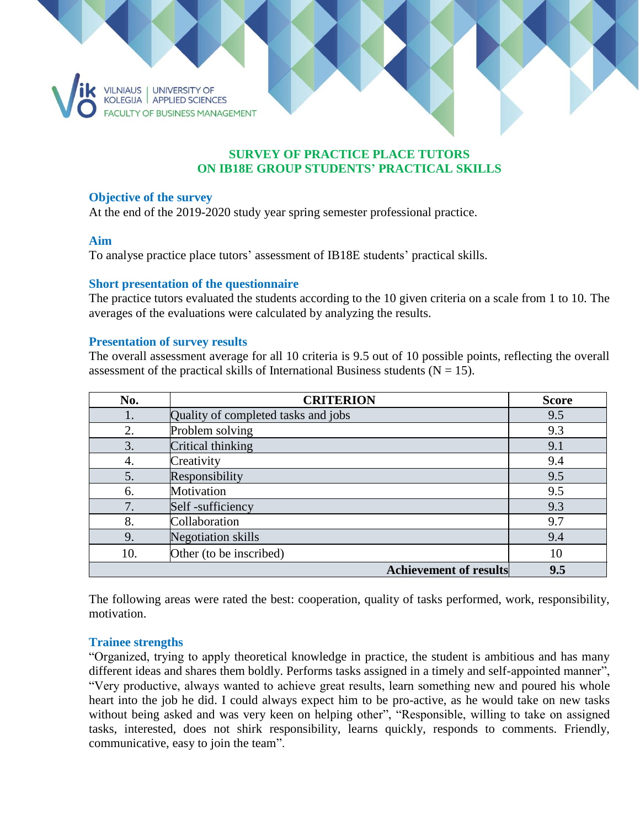

# **SURVEY OF PRACTICE PLACE TUTORS ON IB18E GROUP STUDENTS' PRACTICAL SKILLS**

#### **Objective of the survey**

At the end of the 2019-2020 study year spring semester professional practice.

### **Aim**

To analyse practice place tutors' assessment of IB18E students' practical skills.

### **Short presentation of the questionnaire**

The practice tutors evaluated the students according to the 10 given criteria on a scale from 1 to 10. The averages of the evaluations were calculated by analyzing the results.

#### **Presentation of survey results**

The overall assessment average for all 10 criteria is 9.5 out of 10 possible points, reflecting the overall assessment of the practical skills of International Business students ( $N = 15$ ).

| No. | <b>CRITERION</b>                    | <b>Score</b> |
|-----|-------------------------------------|--------------|
| 1.  | Quality of completed tasks and jobs | 9.5          |
| 2.  | Problem solving                     | 9.3          |
| 3.  | Critical thinking                   | 9.1          |
| 4.  | Creativity                          | 9.4          |
| 5.  | Responsibility                      | 9.5          |
| 6.  | Motivation                          | 9.5          |
| 7.  | Self-sufficiency                    | 9.3          |
| 8.  | Collaboration                       | 9.7          |
| 9.  | <b>Negotiation skills</b>           | 9.4          |
| 10. | Other (to be inscribed)             | 10           |
|     | <b>Achievement of results</b>       | 9.5          |

The following areas were rated the best: cooperation, quality of tasks performed, work, responsibility, motivation.

# **Trainee strengths**

"Organized, trying to apply theoretical knowledge in practice, the student is ambitious and has many different ideas and shares them boldly. Performs tasks assigned in a timely and self-appointed manner", "Very productive, always wanted to achieve great results, learn something new and poured his whole heart into the job he did. I could always expect him to be pro-active, as he would take on new tasks without being asked and was very keen on helping other", "Responsible, willing to take on assigned tasks, interested, does not shirk responsibility, learns quickly, responds to comments. Friendly, communicative, easy to join the team".